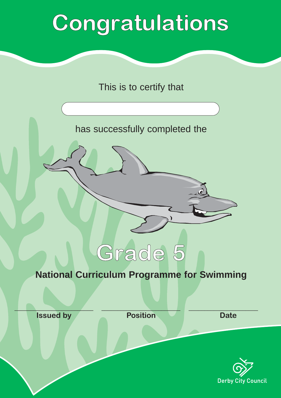## Congratulations

This is to certify that

has successfully completed the



## **National Curriculum Programme for Swimming**

\_\_\_\_\_\_\_\_\_\_\_\_\_\_\_\_\_\_\_\_\_\_\_\_\_ **Issued by**

 $\_\_\_\_\_\_\_\_\_\_\_\_\_\_$ **Position**

**Date**

 $\overline{\phantom{a}}$  , which is a set of the set of the set of the set of the set of the set of the set of the set of the set of the set of the set of the set of the set of the set of the set of the set of the set of the set of th